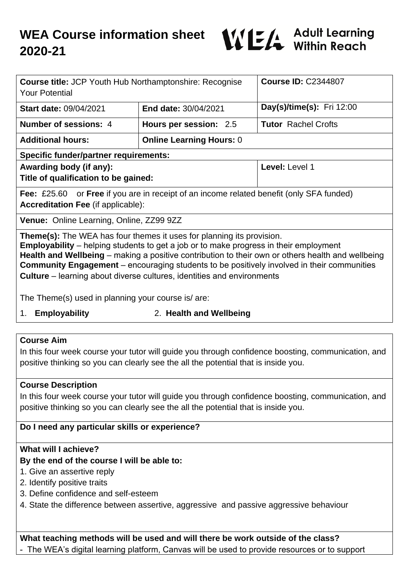

| <b>Course title: JCP Youth Hub Northamptonshire: Recognise</b><br><b>Your Potential</b>                                                                                                                                                                                                                                                                                                                                                                                 |                                 | <b>Course ID: C2344807</b>       |
|-------------------------------------------------------------------------------------------------------------------------------------------------------------------------------------------------------------------------------------------------------------------------------------------------------------------------------------------------------------------------------------------------------------------------------------------------------------------------|---------------------------------|----------------------------------|
| <b>Start date: 09/04/2021</b>                                                                                                                                                                                                                                                                                                                                                                                                                                           | <b>End date: 30/04/2021</b>     | <b>Day(s)/time(s):</b> Fri 12:00 |
| <b>Number of sessions: 4</b>                                                                                                                                                                                                                                                                                                                                                                                                                                            | Hours per session: 2.5          | <b>Tutor</b> Rachel Crofts       |
| <b>Additional hours:</b>                                                                                                                                                                                                                                                                                                                                                                                                                                                | <b>Online Learning Hours: 0</b> |                                  |
| <b>Specific funder/partner requirements:</b>                                                                                                                                                                                                                                                                                                                                                                                                                            |                                 |                                  |
| Awarding body (if any):<br>Title of qualification to be gained:                                                                                                                                                                                                                                                                                                                                                                                                         |                                 | Level: Level 1                   |
| <b>Fee:</b> £25.60 or <b>Free</b> if you are in receipt of an income related benefit (only SFA funded)<br><b>Accreditation Fee (if applicable):</b>                                                                                                                                                                                                                                                                                                                     |                                 |                                  |
| <b>Venue:</b> Online Learning, Online, ZZ99 9ZZ                                                                                                                                                                                                                                                                                                                                                                                                                         |                                 |                                  |
| <b>Theme(s):</b> The WEA has four themes it uses for planning its provision.<br><b>Employability</b> – helping students to get a job or to make progress in their employment<br>Health and Wellbeing – making a positive contribution to their own or others health and wellbeing<br><b>Community Engagement</b> – encouraging students to be positively involved in their communities<br><b>Culture</b> – learning about diverse cultures, identities and environments |                                 |                                  |

The Theme(s) used in planning your course is/ are:

- 
- 1. **Employability** 2. **Health and Wellbeing**

## **Course Aim**

In this four week course your tutor will guide you through confidence boosting, communication, and positive thinking so you can clearly see the all the potential that is inside you.

## **Course Description**

In this four week course your tutor will guide you through confidence boosting, communication, and positive thinking so you can clearly see the all the potential that is inside you.

## **Do I need any particular skills or experience?**

## **What will I achieve?**

# **By the end of the course I will be able to:**

- 1. Give an assertive reply
- 2. Identify positive traits
- 3. Define confidence and self-esteem
- 4. State the difference between assertive, aggressive and passive aggressive behaviour

**What teaching methods will be used and will there be work outside of the class?** The WEA's digital learning platform, Canvas will be used to provide resources or to support